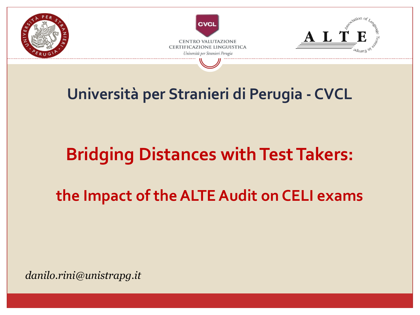

# **Università per Stranieri di Perugia - CVCL**

# **Bridging Distances with Test Takers:**

**the Impact of the ALTE Audit on CELI exams**

*danilo.rini@unistrapg.it*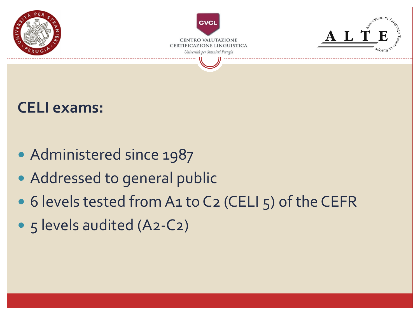

#### **CELI exams:**

- Administered since 1987
- Addressed to general public
- 6 levels tested from A1 to C2 (CELI 5) of the CEFR
- 5 levels audited (A2-C2)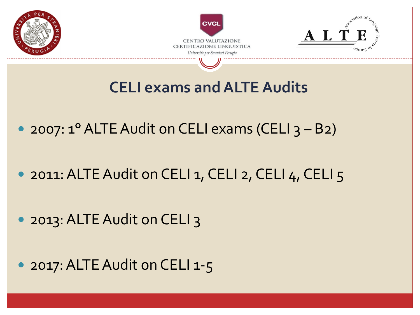

• 2017: ALTE Audit on CELI 1-5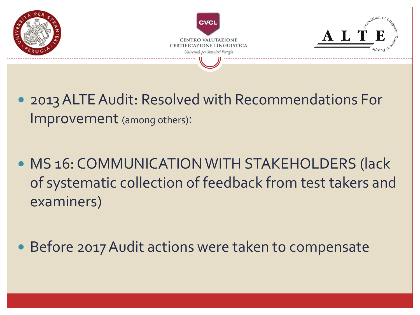

- 2013 ALTE Audit: Resolved with Recommendations For Improvement (among others):
- **MS 16: COMMUNICATION WITH STAKEHOLDERS (lack** of systematic collection of feedback from test takers and examiners)
- Before 2017 Audit actions were taken to compensate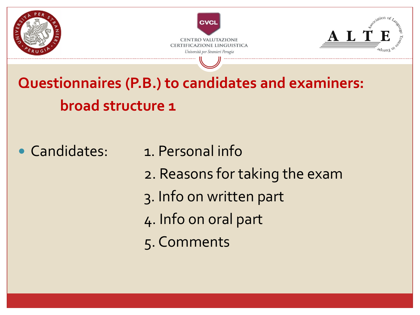

**Questionnaires (P.B.) to candidates and examiners: broad structure 1** 

• Candidates: 1. Personal info

- 2. Reasons for taking the exam
- 3. Info on written part
- 4. Info on oral part
- 5. Comments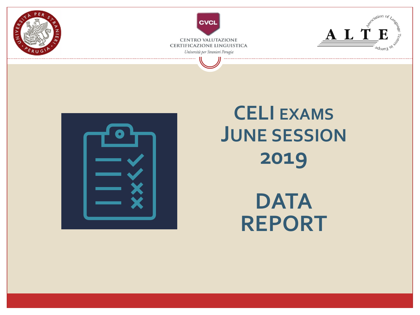



# **CELI EXAMS JUNE SESSION 2019**

**DATA REPORT**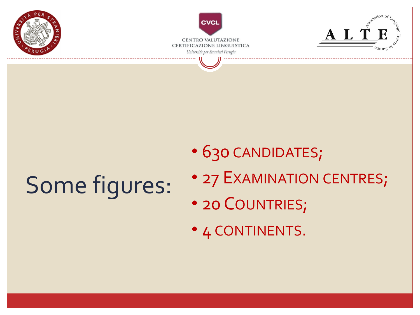

# Some figures:

- 630 CANDIDATES;
- 27 EXAMINATION CENTRES;
- 20 COUNTRIES;
- 4 CONTINENTS.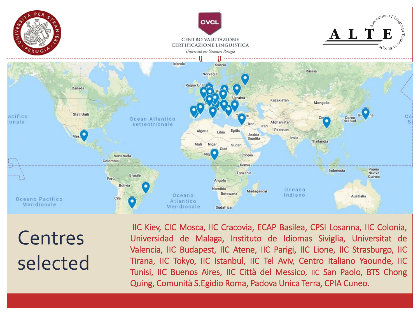

**Centres** selected

IIC Kiev, CIC Mosca, IIC Cracovia, ECAP Basilea, CPSI Losanna, IIC Colonia, Universidad de Malaga, Instituto de Idiomas Siviglia, Universitat de Valencia, IIC Budapest, IIC Atene, IIC Parigi, IIC Lione, IIC Strasburgo, IIC Tirana, IIC Tokyo, IIC Istanbul, IIC Tel Aviv, Centro Italiano Yaounde, IIC Tunisi, IIC Buenos Aires, IIC Città del Messico, IIC San Paolo, BTS Chong Quing, Comunità S.Egidio Roma, Padova Unica Terra, CPIA Cuneo.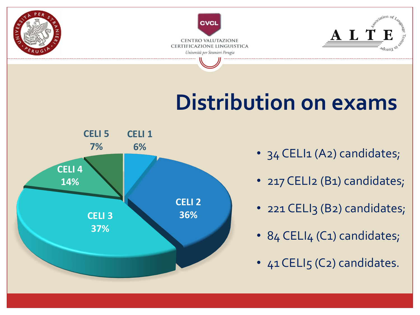

# **Distribution on exams**



- 34 CELI1 (A2) candidates;
- 217 CELI2 (B1) candidates;
- 221 CELI3 (B2) candidates;
- 84 CELI4 (C1) candidates;
- 41 CELI5 (C2) candidates.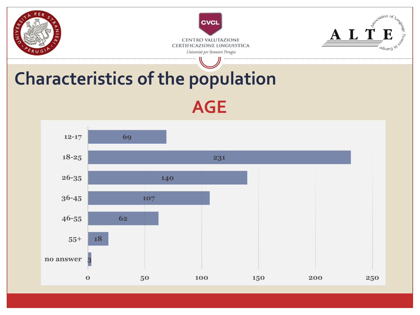

# **Characteristics of the population AGE**

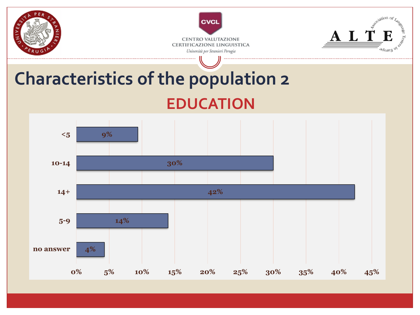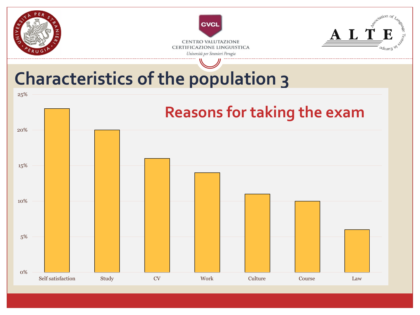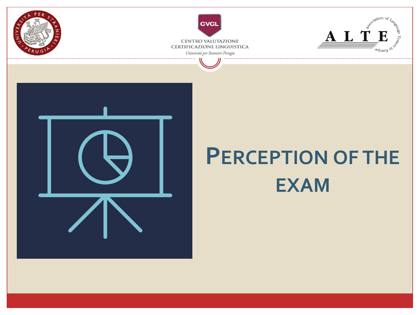



# **EXAM**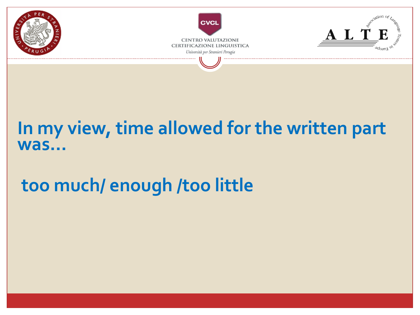

#### **In my view, time allowed for the written part was…**

# **too much/ enough /too little**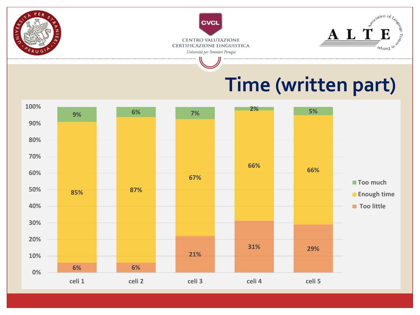

# **Time (written part)**

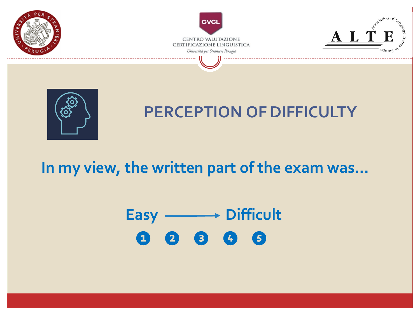

#### **In my view, the written part of the exam was…**

# Easy **Difficult ❶ ❷ ❸ ❹ ❺**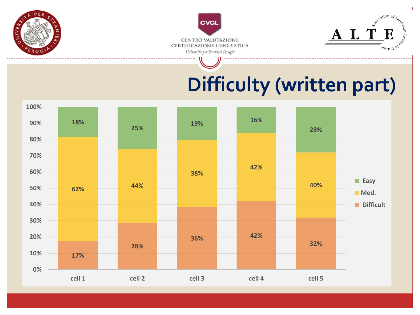

# **Difficulty (written part)**

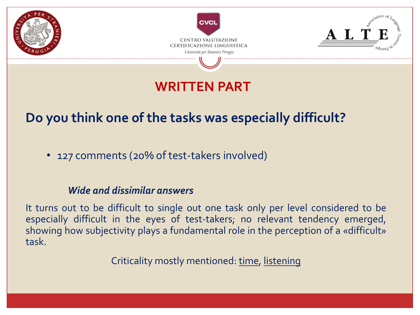

#### **WRITTEN PART**

#### **Do you think one of the tasks was especially difficult?**

• 127 comments (20% of test-takers involved)

#### *Wide and dissimilar answers*

It turns out to be difficult to single out one task only per level considered to be especially difficult in the eyes of test-takers; no relevant tendency emerged, showing how subjectivity plays a fundamental role in the perception of a «difficult» task.

Criticality mostly mentioned: time, listening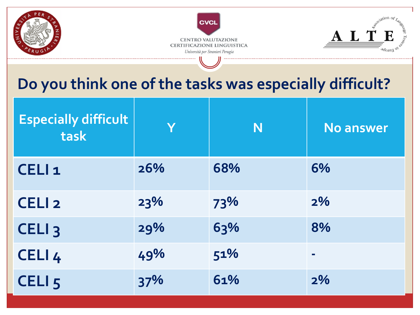

#### **Do you think one of the tasks was especially difficult?**

| <b>Especially difficult</b><br>task | Y   | N   | <b>No answer</b> |
|-------------------------------------|-----|-----|------------------|
| CELI <sub>1</sub>                   | 26% | 68% | 6%               |
| CELI <sub>2</sub>                   | 23% | 73% | 2%               |
| CELI <sub>3</sub>                   | 29% | 63% | 8%               |
| CELI <sub>4</sub>                   | 49% | 51% | $\blacksquare$   |
| CELI <sub>5</sub>                   | 37% | 61% | 2%               |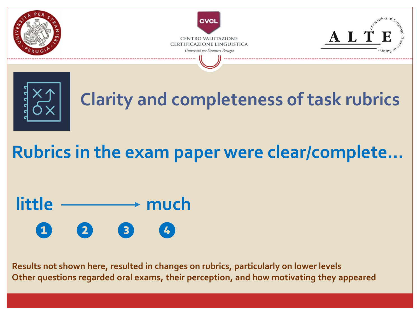



**Results not shown here, resulted in changes on rubrics, particularly on lower levels Other questions regarded oral exams, their perception, and how motivating they appeared**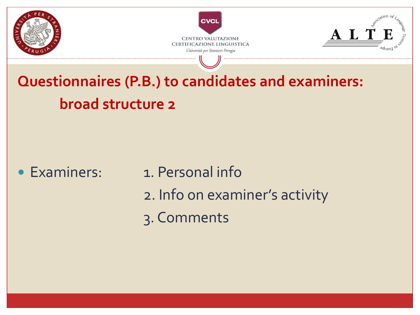

**Questionnaires (P.B.) to candidates and examiners: broad structure 2** 

- 
- Examiners: 1. Personal info
	- 2. Info on examiner's activity
	- 3. Comments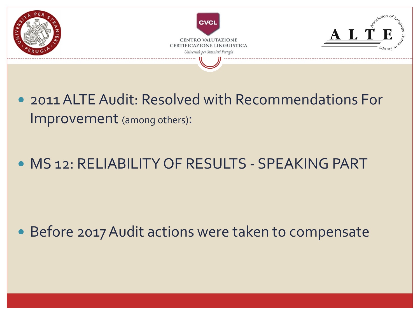

- 2011 ALTE Audit: Resolved with Recommendations For Improvement (among others):
- MS 12: RELIABILITY OF RESULTS SPEAKING PART

Before 2017 Audit actions were taken to compensate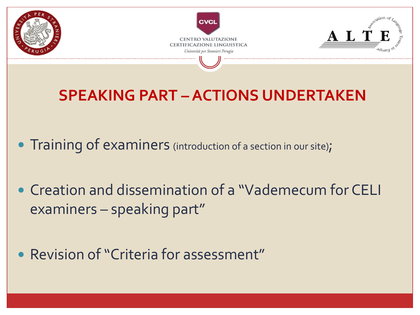

### **SPEAKING PART –ACTIONS UNDERTAKEN**

- Training of examiners (introduction of a section in our site);
- Creation and dissemination of a "Vademecum for CELI examiners – speaking part"
- Revision of "Criteria for assessment"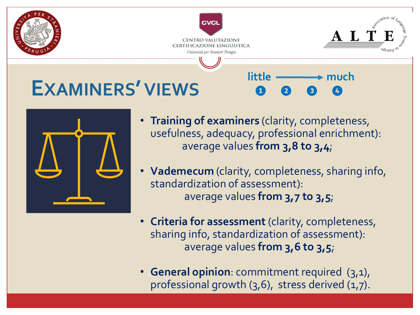

- **Training of examiners** (clarity, completeness, usefulness, adequacy, professional enrichment): average values **from 3,8 to 3,4**;
- **Vademecum** (clarity, completeness, sharing info, standardization of assessment): average values **from 3,7 to 3,5**;
- **Criteria for assessment** (clarity, completeness, sharing info, standardization of assessment): average values **from 3,6 to 3,5**;
- **General opinion**: commitment required (3,1), professional growth (3,6), stress derived (1,7).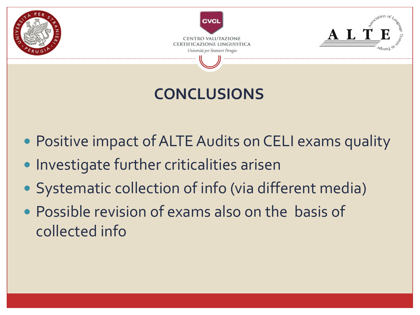

## **CONCLUSIONS**

- Positive impact of ALTE Audits on CELI exams quality
- Investigate further criticalities arisen
- Systematic collection of info (via different media)
- Possible revision of exams also on the basis of collected info